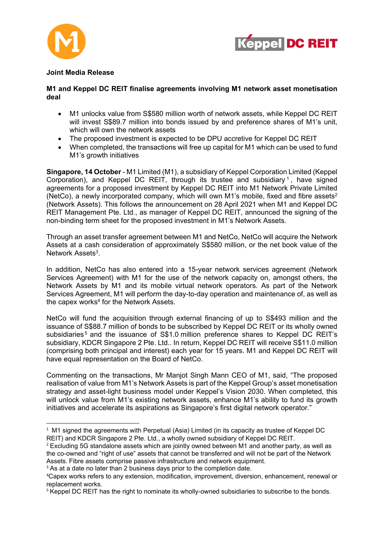



# **Joint Media Release**

# **M1 and Keppel DC REIT finalise agreements involving M1 network asset monetisation deal**

- M1 unlocks value from S\$580 million worth of network assets, while Keppel DC REIT will invest S\$89.7 million into bonds issued by and preference shares of M1's unit, which will own the network assets
- The proposed investment is expected to be DPU accretive for Keppel DC REIT
- When completed, the transactions will free up capital for M1 which can be used to fund M1's growth initiatives

**Singapore, 14 October** - M1 Limited (M1), a subsidiary of Keppel Corporation Limited (Keppel Corporation), and Keppel DC REIT, through its trustee and subsidiary<sup>1</sup>, have signed agreements for a proposed investment by Keppel DC REIT into M1 Network Private Limited (NetCo), a newly incorporated company, which will own M1's mobile, fixed and fibre assets<sup>2</sup> (Network Assets). This follows the announcement on 28 April 2021 when M1 and Keppel DC REIT Management Pte. Ltd., as manager of Keppel DC REIT, announced the signing of the non-binding term sheet for the proposed investment in M1's Network Assets.

Through an asset transfer agreement between M1 and NetCo, NetCo will acquire the Network Assets at a cash consideration of approximately S\$580 million, or the net book value of the Network Assets<sup>3</sup>.

In addition, NetCo has also entered into a 15-year network services agreement (Network Services Agreement) with M1 for the use of the network capacity on, amongst others, the Network Assets by M1 and its mobile virtual network operators. As part of the Network Services Agreement, M1 will perform the day-to-day operation and maintenance of, as well as the capex works $4$  for the Network Assets.

NetCo will fund the acquisition through external financing of up to S\$493 million and the issuance of S\$88.7 million of bonds to be subscribed by Keppel DC REIT or its wholly owned subsidiaries<sup>5</sup> and the issuance of S\$1.0 million preference shares to Keppel DC REIT's subsidiary, KDCR Singapore 2 Pte. Ltd.. In return, Keppel DC REIT will receive S\$11.0 million (comprising both principal and interest) each year for 15 years. M1 and Keppel DC REIT will have equal representation on the Board of NetCo.

Commenting on the transactions, Mr Manjot Singh Mann CEO of M1, said, "The proposed realisation of value from M1's Network Assets is part of the Keppel Group's asset monetisation strategy and asset-light business model under Keppel's Vision 2030. When completed, this will unlock value from M1's existing network assets, enhance M1's ability to fund its growth initiatives and accelerate its aspirations as Singapore's first digital network operator."

<sup>&</sup>lt;sup>1</sup> M1 signed the agreements with Perpetual (Asia) Limited (in its capacity as trustee of Keppel DC REIT) and KDCR Singapore 2 Pte. Ltd., a wholly owned subsidiary of Keppel DC REIT.

<sup>&</sup>lt;sup>2</sup> Excluding 5G standalone assets which are jointly owned between M1 and another party, as well as the co-owned and "right of use" assets that cannot be transferred and will not be part of the Network Assets. Fibre assets comprise passive infrastructure and network equipment.

<sup>&</sup>lt;sup>3</sup> As at a date no later than 2 business days prior to the completion date.

<sup>4</sup> Capex works refers to any extension, modification, improvement, diversion, enhancement, renewal or replacement works.

<sup>&</sup>lt;sup>5</sup> Keppel DC REIT has the right to nominate its wholly-owned subsidiaries to subscribe to the bonds.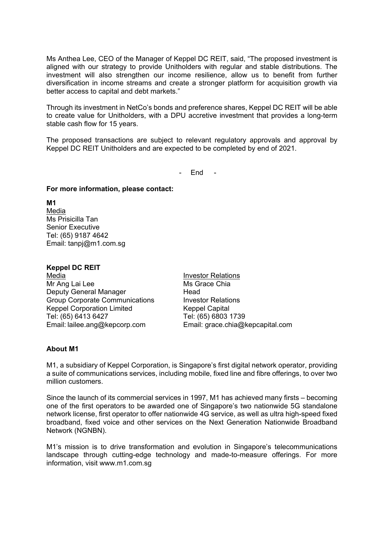Ms Anthea Lee, CEO of the Manager of Keppel DC REIT, said, "The proposed investment is aligned with our strategy to provide Unitholders with regular and stable distributions. The investment will also strengthen our income resilience, allow us to benefit from further diversification in income streams and create a stronger platform for acquisition growth via better access to capital and debt markets."

Through its investment in NetCo's bonds and preference shares, Keppel DC REIT will be able to create value for Unitholders, with a DPU accretive investment that provides a long-term stable cash flow for 15 years.

The proposed transactions are subject to relevant regulatory approvals and approval by Keppel DC REIT Unitholders and are expected to be completed by end of 2021.

- End -

# **For more information, please contact:**

**M1** Media Ms Prisicilla Tan Senior Executive Tel: (65) 9187 4642 Email: tanpj@m1.com.sg

**Keppel DC REIT** Media Mr Ang Lai Lee Deputy General Manager Group Corporate Communications Keppel Corporation Limited Tel: (65) 6413 6427 Email: lailee.ang@kepcorp.com

Investor Relations Ms Grace Chia Head Investor Relations Keppel Capital Tel: (65) 6803 1739 Email: grace.chia@kepcapital.com

# **About M1**

M1, a subsidiary of Keppel Corporation, is Singapore's first digital network operator, providing a suite of communications services, including mobile, fixed line and fibre offerings, to over two million customers.

Since the launch of its commercial services in 1997, M1 has achieved many firsts – becoming one of the first operators to be awarded one of Singapore's two nationwide 5G standalone network license, first operator to offer nationwide 4G service, as well as ultra high-speed fixed broadband, fixed voice and other services on the Next Generation Nationwide Broadband Network (NGNBN).

M1's mission is to drive transformation and evolution in Singapore's telecommunications landscape through cutting-edge technology and made-to-measure offerings. For more information, visit www.m1.com.sg